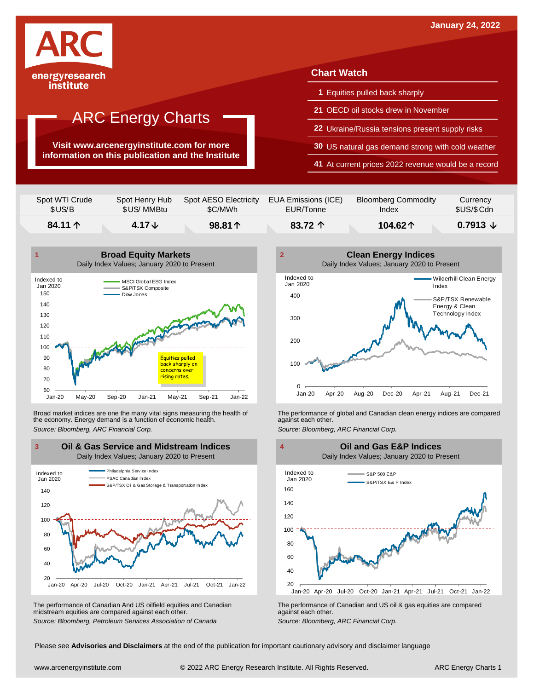

## ARC Energy Charts

**Visit www.arcenergyinstitute.com for more information on this publication and the Institute**

### **Chart Watch**

- **1** Equities pulled back sharply
- **21** OECD oil stocks drew in November
- **22** Ukraine/Russia tensions present supply risks
- **30** US natural gas demand strong with cold weather
- **41** At current prices 2022 revenue would be a record

| Spot WTI Crude   | Spot Henry Hub    | Spot AESO Electricity | EUA Emissions (ICE) | <b>Bloomberg Commodity</b> | Currency               |
|------------------|-------------------|-----------------------|---------------------|----------------------------|------------------------|
| \$US/B           | \$US/ MMBtu       | \$C/MWh               | EUR/Tonne           | Index                      | \$US/\$Cdn             |
| 84.11 $\uparrow$ | 4.17 $\downarrow$ | $98.81 \text{ A}$     | 83.72 $\uparrow$    | 104.62个                    | $0.7913 \; \downarrow$ |



Broad market indices are one the many vital signs measuring the health of the economy. Energy demand is a function of economic health. Broad market indices are one the many vital signs measuring the health of The performance of global and Canadian clean energy indices are compared<br>the economy. Energy demand is a function of economic health.<br>Source: Bloomb



The performance of Canadian And US oilfield equities and Canadian midstream equities are compared against each other. *Source: Bloomberg, Petroleum Services Association of Canada* The performance of Canadian and US oil & gas equities are compared against each other. *Source: Bloomberg, ARC Financial Corp.*





Please see **Advisories and Disclaimers** at the end of the publication for important cautionary advisory and disclaimer language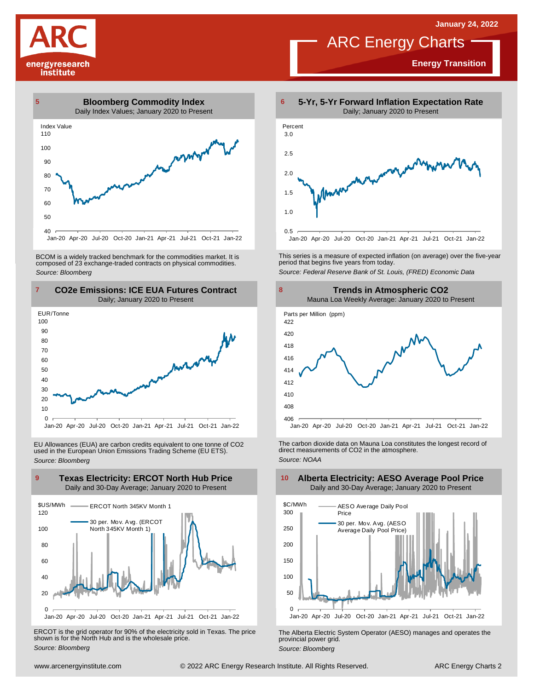**Energy Transition**

# energyresearch institute



Jan-20 Apr-20 Jul-20 Oct-20 Jan-21 Apr-21 Jul-21 Oct-21 Jan-22

BCOM is <sup>a</sup> widely tracked benchmark for the commodities market. It is composed of <sup>23</sup> exchange-traded contracts on physical commodities. *Source: Bloomberg*





EU Allowances (EUA) are carbon credits equivalent to one tonne of CO2 used in the European Union Emissions Trading Scheme (EU ETS). *Source: Bloomberg*



ERCOT is the grid operator for 90% of the electricity sold in Texas. The price shown is for the North Hub and is the wholesale price. *Source: Bloomberg*



ARC Energy Charts

This series is <sup>a</sup> measure of expected inflation (on average) over the five-year period that begins five years from today. *Source: Federal Reserve Bank of St. Louis, (FRED) Economic Data*



The carbon dioxide data on Mauna Loa constitutes the longest record of direct measurements of CO2 in the atmosphere. *Source: NOAA*



The Alberta Electric System Operator (AESO) manages and operates the provincial power grid. *Source: Bloomberg*

### **Alberta Electricity: AESO Average Pool Price** Daily and 30-Day Average; January 2020 to Present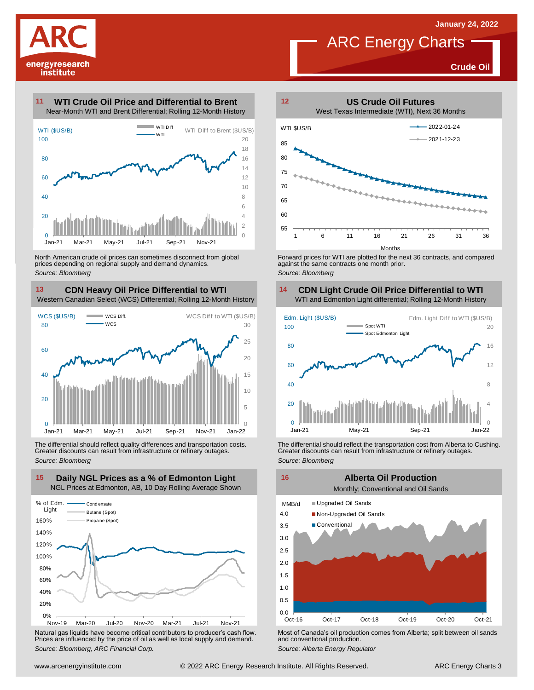**Crude Oil**



#### **WTI Crude Oil Price and Differential to Brent 11**



North American crude oil prices can sometimes disconnect from global prices depending on regional supply and demand dynamics. *Source: Bloomberg*

### **CDN Heavy Oil Price Differential to WTI 13 14**

Western Canadian Select (WCS) Differential; Rolling 12-Month History



The differential should reflect quality differences and transportation costs. Greater discounts can result from infrastructure or refinery outages. *Source: Bloomberg*



Natural gas liquids have become critical contributors to producer's cash flow. Most of Canada's oil production comes from Alberta; split between oil sands<br>Prices are influenced by the price of oil as well as local supply a



**ARC Energy Charts** 

Forward prices for WTI are plotted for the next 36 contracts, and compared against the same contracts one month prior. *Source: Bloomberg*

## **CDN Light Crude Oil Price Differential to WTI**



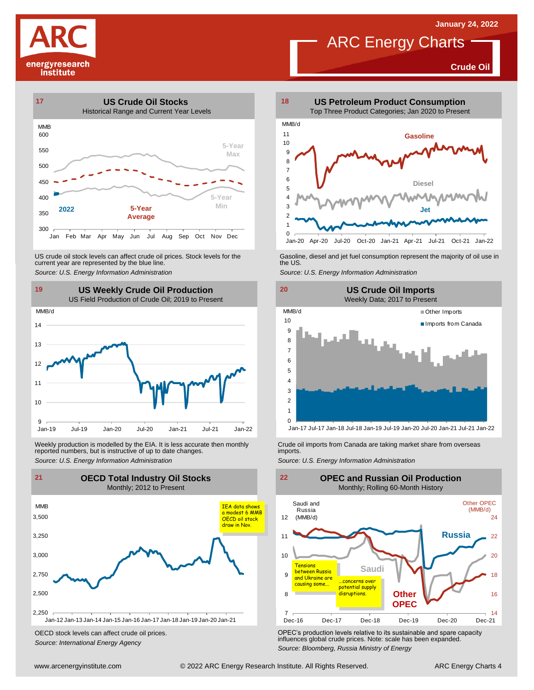**Crude Oil**

# energyresearch institute



US crude oil stock levels can affect crude oil prices. Stock levels for the current year are represented by the blue line. US crude oil stock levels can affect crude oil prices. Stock levels for the Gasoline, diesel and jet fuel consumption represent the majority of oil use in<br>current year are represented by the blue line.<br>Source: U.S. Energy

![](_page_3_Figure_4.jpeg)

Weekly production is modelled by the EIA. It is less accurate then monthly Crude oil imports from Canada are taking market share from overseas<br>The imports in the more from overseas imports imports.<br>Source: U.S. Energy Info

![](_page_3_Figure_6.jpeg)

OECD stock levels can affect crude oil prices. *Source: International Energy Agency*

![](_page_3_Figure_8.jpeg)

**ARC Energy Charts** 

![](_page_3_Figure_9.jpeg)

![](_page_3_Figure_12.jpeg)

Jan-17 Jul-17 Jan-18 Jul-18 Jan-19 Jul-19 Jan-20 Jul-20 Jan-21 Jul-21 Jan-22

![](_page_3_Figure_16.jpeg)

OPEC's production levels relative to its sustainable and spare capacity influences global crude prices. Note: scale has been expanded. *Source: Bloomberg, Russia Ministry of Energy*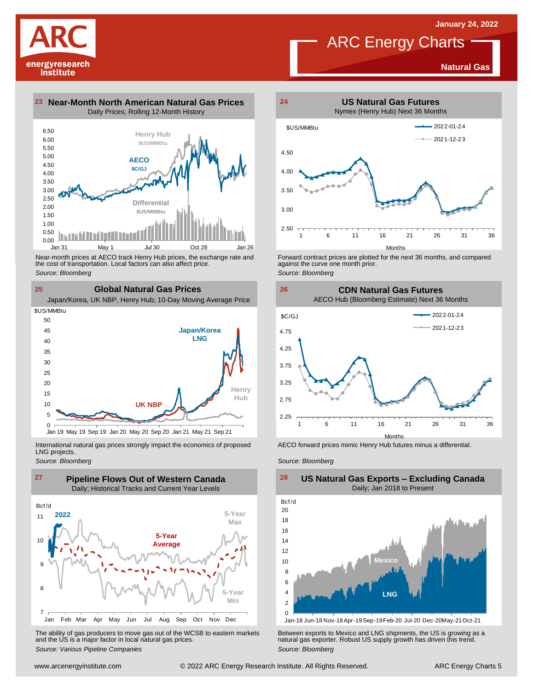# energyresearch institute

**Natural Gas**

![](_page_4_Figure_3.jpeg)

![](_page_4_Figure_4.jpeg)

Near-month prices at AECO track Henry Hub prices, the exchange rate and<br>the cost of transportation. Local factors can also affect price.<br>Source: Bloomberg<br>**CIObal Natural Gas Prices**<br>Japan/Korea, UK NBP, Henry Hub; 10-Day the cost of transportation. Local factors can also affect price.

*Source: Bloomberg*

**25**

**Global Natural Gas Prices Japan/Korea LNG Henry Hub UK NBP**  $\overline{0}$ 5 10 15  $20$ 25 30 35  $40$ 45 50 Jan 19 May 19 Sep 19 Jan 20 May 20 Sep 20 Jan 21 May 21 Sep 21 \$US/MMBtu

International natural gas prices strongly impact the economics of proposed LNG projects.

![](_page_4_Figure_9.jpeg)

![](_page_4_Figure_10.jpeg)

The ability of gas producers to move gas out of the WCSB to eastern markets Between exports to Mexico and LNG shipments, the US is growing as a<br>and the US is a major factor in local natural gas prices.<br>Source: Bloomberg Va

![](_page_4_Figure_12.jpeg)

ARC Energy Charts

Forward contract prices are plotted for the next <sup>36</sup> months, and compared against the curve one month prior. *Source: Bloomberg*

![](_page_4_Figure_15.jpeg)

![](_page_4_Figure_16.jpeg)

AECO forward prices mimic Henry Hub futures minus a differential.

*Source: Bloomberg*

![](_page_4_Figure_19.jpeg)

**US Natural Gas Exports – Excluding Canada** Daily; Jan 2018 to Present

Jan-18 Jun-18 Nov-18Apr-19 Sep-19Feb-20 Jul-20 Dec-20May-21Oct-21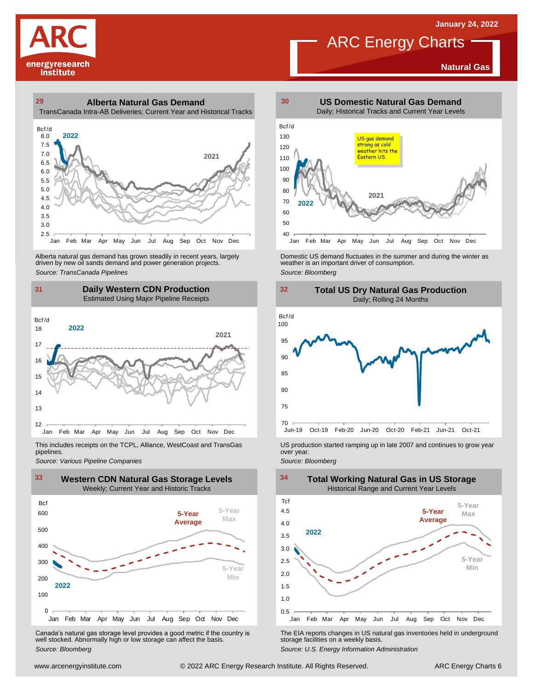**Natural Gas**

![](_page_5_Picture_1.jpeg)

## **29 30 Alberta Natural Gas Demand**

TransCanada Intra-AB Deliveries; Current Year and Historical Tracks

![](_page_5_Figure_4.jpeg)

Alberta natural gas demand has grown steadily in recent years, largely<br>
driven by new oil sands demand and power generation projects.<br>
Source: *Bloomberg*<br>
Source: *Bloomberg*<br>
Daily Western CDN Production<br>
Estimated Using Alberta natural gas demand has grown steadily in recent years, largely **Domestic US demand fluctuates in the summer** and during the winter as driven by new oil sands demand and power generation projects.<br>Ariven by new oil

## **31 32 Daily Western CDN Production** Estimated Using Major Pipeline Receipts  $\frac{31}{\text{Bcf/d}}$

![](_page_5_Figure_7.jpeg)

This includes receipts on the TCPL, Alliance, WestCoast and TransGas pipelines.

![](_page_5_Figure_10.jpeg)

Canada's natural gas storage level provides <sup>a</sup> good metric if the country is well stocked. Abnormally high or low storage can affect the basis. *Source: Bloomberg*

![](_page_5_Figure_12.jpeg)

ARC Energy Charts

![](_page_5_Figure_14.jpeg)

![](_page_5_Figure_15.jpeg)

*Source: Pipelines Pipelines Pipelines Pipelines Pipelines Companies Pipeline Pipelines Pipelines Pipelines Pipelines Companies Pipeline Companies Pipeline Companies Pipeline Companies Pip* 

![](_page_5_Figure_18.jpeg)

The EIA reports changes in US natural gas inventories held in underground storage facilities on <sup>a</sup> weekly basis.

*Source: U.S. Energy Information Administration*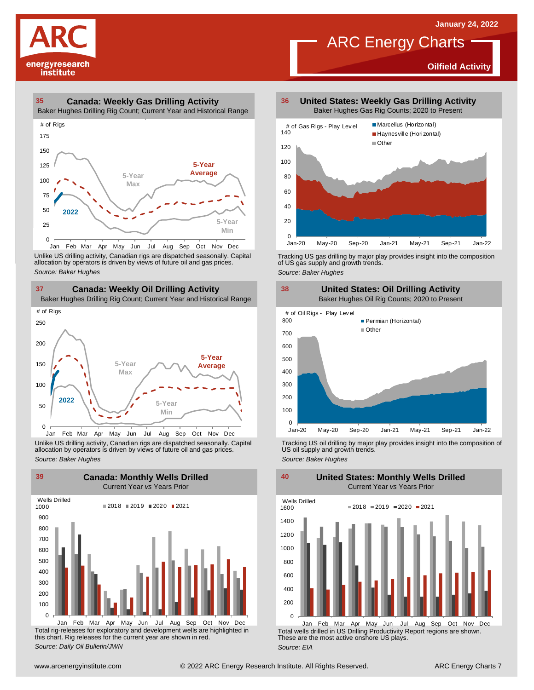**Oilfield Activity**

![](_page_6_Picture_1.jpeg)

#### **35 36 Canada: Weekly Gas Drilling Activity**

Baker Hughes Drilling Rig Count; Current Year and Historical Range

![](_page_6_Figure_4.jpeg)

Unlike US drilling activity, Canadian rigs are dispatched seasonally. Capital<br>allocation by operators is driven by views of future oil and gas prices. 0<br>Jan Feb Mar<br>Unlike US drilling activi<br>allocation by operators<br>Source: *Baker Hughes* 

![](_page_6_Figure_6.jpeg)

Unlike US drilling activity, Canadian rigs are dispatched seasonally. Capital Tracking US oil drilling by major play provides insight into the composition of<br>allocation by operators is driven by views of future oil and gas

![](_page_6_Figure_8.jpeg)

Total rig-releases for exploratory and development wells are highlighted in this chart. Rig releases for the current year are shown in red. *Source: Daily Oil Bulletin/JWN* Jan Feb Mar Apr May Jun Jul Aug Sep Oct Nov Dec

**United States: Weekly Gas Drilling Activity** Baker Hughes Gas Rig Counts; 2020 to Present

ARC Energy Charts

![](_page_6_Figure_11.jpeg)

Tracking US gas drilling by major play provides insight into the composition of US gas supply and growth trends.

*Source: Baker Hughes*

![](_page_6_Figure_14.jpeg)

Tracking US oil drilling by major play provides insight into the composition of US oil supply and growth trends. *Source: Baker Hughes*

**United States: Monthly Wells Drilled**

 $\Omega$ 200 400 600 800 1000 1200 1400 1600 Wells Drilled  $2018 = 2019 = 2020 = 2021$ 

Total wells drilled in US Drilling Productivity Report regions are shown. These are the most active onshore US plays. *Source: EIA* Jan Feb Mar Apr May Jun Jul Aug Sep Oct Nov Dec